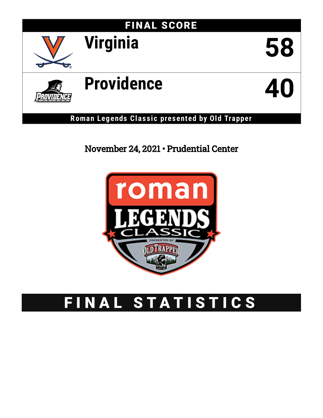

**Roman Legends Clas s ic presented by Old Trapper**

# November 24, 2021 • Prudential Center



# FINAL STATISTICS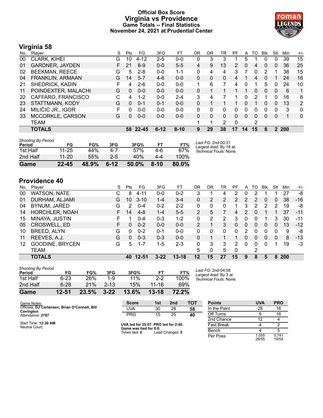# **Official Box Score Virginia vs Providence Game Totals -- Final Statistics November 24, 2021 at Prudential Center**



# **Virginia 58**

| No. | Plaver                 | S | <b>Pts</b> | FG      | 3FG      | FT       | OR | DR | TR | PF             | A        | TO | Blk      | Stl      | Min        | $+/-$        |
|-----|------------------------|---|------------|---------|----------|----------|----|----|----|----------------|----------|----|----------|----------|------------|--------------|
| 00  | CLARK, KIHEI           | G | 10         | 4-12    | 2-5      | $0-0$    | 0  | 3  | 3  |                | 5        |    | 0        | 0        | 39         | 15           |
| 01  | <b>GARDNER, JAYDEN</b> |   | 21         | $8-9$   | $0 - 0$  | $5 - 5$  | 4  | 9  | 13 | 2              | 0        | 4  | 0        | 0        | 36         | 25           |
| 02  | <b>BEEKMAN, REECE</b>  | G | 5          | $2 - 8$ | $0 - 0$  | $1 - 1$  | 0  | 4  | 4  | 3              |          | 0  | 2        |          | 38         | 15           |
| 04  | FRANKLIN, ARMAAN       | G | 14         | $5 - 7$ | $4-6$    | $0 - 0$  | 0  | 0  | 0  | $\overline{4}$ |          | 4  | 0        |          | 24         | 16           |
| 21  | SHEDRICK, KADIN        | F | 4          | $2-6$   | $0 - 0$  | $0 - 0$  | 1. | 6  | 7  | 4              | 0        |    | 5        | 0        | 24         | 10           |
| 11  | POINDEXTER, MALACHI    | G | $\Omega$   | $0 - 0$ | $0 - 0$  | $0 - 0$  | 0  |    |    |                |          | 0  | $\Omega$ | 0        | 6          | 1            |
| 22  | CAFFARO, FRANCISCO     | C | 4          | $1 - 2$ | $0 - 0$  | $2 - 4$  | 3  | 4  |    |                | 0        | 2  |          | 0        | 16         | 8            |
| 23  | STATTMANN, KODY        | G | $\Omega$   | $0 - 1$ | $0 - 1$  | $0 - 0$  | 0  |    |    |                | 0        |    | $\Omega$ | $\Omega$ | 13         | 2            |
| 24  | MILIČIĆ JR., IGOR      | F | 0          | $0 - 0$ | $0 - 0$  | $0-0$    | 0  | 0  | 0  | O              | 0        | 0  | 0        | 0        | 3          | $\mathbf{0}$ |
| 33  | MCCORKLE, CARSON       | G | 0          | $0-0$   | $0-0$    | $0 - 0$  | 0  | 0  | 0  | $\Omega$       | $\Omega$ | 0  | 0        | $\Omega$ |            | $\mathbf{0}$ |
|     | <b>TEAM</b>            |   |            |         |          |          |    | 1  | 2  | $\Omega$       |          | 2  |          |          |            |              |
|     | <b>TOTALS</b>          |   | 58.        | 22-45   | $6 - 12$ | $8 - 10$ | 9  | 29 | 38 | 17             | 14       | 15 | 8        | 2        | <b>200</b> |              |

| <b>Shooting By Period</b><br>Period | FG        | FG%   | 3FG      | 3FG%     | FT       | FT%   | Last FG: 2nd-00:31<br>Largest lead: By 18 at |
|-------------------------------------|-----------|-------|----------|----------|----------|-------|----------------------------------------------|
| 1st Half                            | $11 - 25$ | 44%   | 4-7      | 57%      | 4-6      | 67%   | Technical Fouls: None.                       |
| 2nd Half                            | $11 - 20$ | 55%   | $2 - 5$  | 40%      | 4-4      | 100%  |                                              |
| Game                                | $22 - 45$ | 48.9% | $6 - 12$ | $50.0\%$ | $8 - 10$ | 80.0% |                                              |

# **Providence 40**

| No. | Plaver                 | S  | Pts | FG        | 3FG      | FT.       | 0R      | DR | TR            | PF             | A            | TO | <b>Blk</b>   | Stl      | Min        | $+/-$ |
|-----|------------------------|----|-----|-----------|----------|-----------|---------|----|---------------|----------------|--------------|----|--------------|----------|------------|-------|
| 00  | WATSON, NATE           | С  | 8   | 4-11      | $0 - 0$  | $0 - 2$   | 3       |    | 4             | 2              | 0            | 2  |              |          | 27         | -8    |
| 01  | DURHAM, ALJAMI         | G  | 10  | $3 - 10$  | $1 - 4$  | $3 - 4$   | 0       | 2  | $\mathcal{P}$ | $\mathcal{P}$  | 2            | 2  | 0            | 0        | 38         | $-16$ |
| 04  | BYNUM, JARED           | G  | 2   | $0 - 4$   | $0 - 2$  | $2 - 2$   | 0       | 0  | 0             |                | 3            | 2  | 2            | 2        | 19         | -8    |
| 14  | <b>HORCHLER, NOAH</b>  | F. | 14  | $4 - 8$   | $1 - 4$  | $5 - 5$   | 2       | 5  |               | $\overline{4}$ | 2            | 0  |              |          | 37         | $-11$ |
| 15  | MINAYA, JUSTIN         | F  |     | $0 - 4$   | $0 - 3$  | $1 - 2$   | 0       | 2  | 2             | 3              | 0            | 0  |              | 3        | 30         | $-11$ |
| 05  | <b>CROSWELL, ED</b>    | F. | 0   | $0 - 2$   | $0 - 0$  | $0 - 0$   | 2       |    | 3             | 0              | $\mathbf{0}$ | 0  | $\mathbf{0}$ | $\Omega$ | 13         | $-12$ |
| 10  | BREED, ALYN            | G  | 0   | $0 - 2$   | $0 - 1$  | $0 - 0$   | 0       | 0  | $\Omega$      | 0              | 2            | 0  | 0            | 0        | 9          | -8    |
| 11  | REEVES, A.J.           | G  | 0   | $0 - 3$   | $0 - 3$  | $0 - 0$   | 0       |    |               |                | 0            | 0  | $\Omega$     | $\Omega$ | 8          | $-13$ |
| 12  | <b>GOODINE, BRYCEN</b> | G  | 5.  | $1 - 7$   | $1 - 5$  | $2 - 3$   | 0       | 3  | 3             | $\mathcal{P}$  | $\Omega$     | 0  | $\Omega$     |          | 19         | $-3$  |
|     | <b>TEAM</b>            |    |     |           |          |           | 5       | 0  | 5             | $\Omega$       |              | 2  |              |          |            |       |
|     | <b>TOTALS</b>          |    | 40  | $12 - 51$ | $3 - 22$ | $13 - 18$ | $12 \,$ | 15 | 27            | 15             | 9            | 8  | 5            | 8        | <b>200</b> |       |
|     |                        |    |     |           |          |           |         |    |               |                |              |    |              |          |            |       |

| Game                                | 12-51    | 23.5% | $3 - 22$ | 13.6% | $13 - 18$ | 72.2% |          |
|-------------------------------------|----------|-------|----------|-------|-----------|-------|----------|
| 2nd Half                            | $6 - 28$ | 21%   | $2 - 13$ | 15%   | $11 - 16$ | 69%   |          |
| 1st Half                            | 6-23     | 26%   | 1-9      | 11%   | $2 - 2$   | 100%  | Te       |
| <b>Shooting By Period</b><br>Period | FG       | FG%   | 3FG      | 3FG%  | FТ        | FT%   | La<br>La |

*Last FG:* 2nd-04:58 *Largest lead:* By 3 at *Technical Fouls:* None.

| Game Notes:                                    | <b>Score</b>                                   | 1st | 2 <sub>nd</sub> | тот | <b>Points</b>     | <b>UVA</b>     | <b>PRO</b>     |
|------------------------------------------------|------------------------------------------------|-----|-----------------|-----|-------------------|----------------|----------------|
| Officials: DJ Cartensen, Brian O'Connell, Bill | UVA                                            | 30  | 28              | 58  | In the Paint      | 28             | 16             |
| Covington<br>Attendance: 2787                  | <b>PRO</b>                                     | 15  | 25              | 40  | Off Turns         |                | 16             |
|                                                |                                                |     |                 |     | 2nd Chance        | 12             |                |
| Start Time: 12:30 AM<br>Neutral Court:         | UVA led for 35:07. PRO led for 2:40.           |     |                 |     | <b>Fast Break</b> |                |                |
|                                                | Game was tied for 0:0.<br>Times tied: <b>0</b> |     | Lead Changes: 0 |     | Bench             |                |                |
|                                                |                                                |     |                 |     | Per Poss          | 1.055<br>26/55 | 0.741<br>19/54 |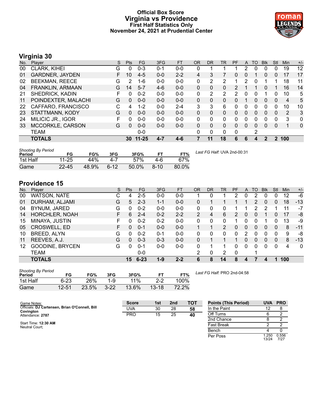# **Official Box Score Virginia vs Providence First Half Statistics Only November 24, 2021 at Prudential Center**



# **Virginia 30**

| No. | Plaver                 | S  | <b>Pts</b> | <b>FG</b> | 3FG     | <b>FT</b> | <b>OR</b> | <b>DR</b> | <b>TR</b>    | PF            | A | TO       | <b>B</b> lk | Stl | Min            | $+/-$ |
|-----|------------------------|----|------------|-----------|---------|-----------|-----------|-----------|--------------|---------------|---|----------|-------------|-----|----------------|-------|
| 00  | CLARK, KIHEI           | G  | 0          | $0 - 3$   | $0 - 1$ | $0 - 0$   | 0         |           |              |               | 2 | 0        | 0           | 0   | 19             | 12    |
| 01  | <b>GARDNER, JAYDEN</b> |    | 10         | $4 - 5$   | $0 - 0$ | $2 - 2$   | 4         | 3         |              | 0             | 0 |          | 0           | 0   | 17             | 17    |
| 02  | <b>BEEKMAN, REECE</b>  | G  | 2          | 1-6       | $0 - 0$ | $0 - 0$   | 0         | 2         | 2            |               | 2 | 0        |             |     | 18             | 11    |
| 04  | FRANKLIN, ARMAAN       | G  | 14         | $5 - 7$   | $4-6$   | $0 - 0$   | $\Omega$  | 0         | 0            | $\mathcal{P}$ |   |          | 0           |     | 16             | 14    |
| 21  | SHEDRICK, KADIN        | F  | 0          | $0 - 2$   | $0 - 0$ | $0 - 0$   | 0         | 2         | 2            | 2             | 0 | 0        |             | 0   | 10             | 5     |
| 11  | POINDEXTER, MALACHI    | G  | $\Omega$   | $0 - 0$   | $0 - 0$ | $0 - 0$   | 0         | 0         | $\Omega$     | 0             |   | 0        | $\Omega$    | 0   | 4              | 5     |
| 22  | CAFFARO, FRANCISCO     | C. | 4          | $1 - 2$   | $0 - 0$ | $2 - 4$   | 3         | 3         | 6            | 0             | 0 | 0        | $\Omega$    | 0   | 10             | 10    |
| 23  | STATTMANN, KODY        | G  | $\Omega$   | $0 - 0$   | $0 - 0$ | $0 - 0$   | 0         | $\Omega$  | 0            | 0             | 0 | 0        | $\Omega$    | 0   | $\overline{2}$ | 3     |
| 24  | MILIČIĆ JR., IGOR      | F  | 0          | $0 - 0$   | $0 - 0$ | $0 - 0$   | 0         | 0         | 0            | 0             | 0 | 0        | 0           | 0   | 3              | 0     |
| 33  | MCCORKLE, CARSON       | G  | $\Omega$   | $0 - 0$   | $0 - 0$ | $0 - 0$   | 0         | 0         | $\mathbf{0}$ | 0             | 0 | $\Omega$ | 0           | 0   | 1              | 0     |
|     | <b>TEAM</b>            |    |            | $0 - 0$   |         |           | 0         | 0         | 0            | 0             |   | 2        |             |     |                |       |
|     | <b>TOTALS</b>          |    | 30         | 11-25     | 4-7     | $4 - 6$   | 7         | 11        | 18           | 6             | 6 | 4        | 2           | 2   | 100            |       |

| <b>Shooting By Period</b><br>Period | FG        | FG%   | 3FG      | 3FG%     | FТ     | FT%   | Last FG Half: UVA 2nd-00:31 |
|-------------------------------------|-----------|-------|----------|----------|--------|-------|-----------------------------|
| 1st Half                            | $11 - 25$ | 44%   | 4-7      | 57%      | 4-6    | 67%   |                             |
| Game                                | $22 - 45$ | 48.9% | $6 - 12$ | $50.0\%$ | $8-10$ | 80.0% |                             |

# **Providence 15**

| No. | Player                 | S | <b>Pts</b> | <b>FG</b> | 3FG     | <b>FT</b> | <b>OR</b> | <b>DR</b> | TR | <b>PF</b> | A        | TO       | <b>Blk</b> | Stl | <b>Min</b> | $+/-$        |
|-----|------------------------|---|------------|-----------|---------|-----------|-----------|-----------|----|-----------|----------|----------|------------|-----|------------|--------------|
| 00  | <b>WATSON, NATE</b>    | ⌒ | 4          | 2-5       | $0 - 0$ | $0-0$     |           |           |    | 2         | 0        | 2        |            |     | 12         | -6           |
| 01  | DURHAM, ALJAMI         | G | 5          | $2 - 3$   | $1 - 1$ | $0-0$     | 0         |           |    |           |          | 2        |            | 0   | 18         | -13          |
| 04  | BYNUM, JARED           | G | 0          | $0 - 2$   | $0 - 0$ | $0-0$     | 0         | 0         |    |           |          |          |            |     | 11         | $-7$         |
| 14  | HORCHLER, NOAH         | F | 6          | $2 - 4$   | $0 - 2$ | $2 - 2$   | 2         | 4         | 6  | 2         | $\Omega$ | $\Omega$ |            | 0   | 17         | -8           |
| 15  | MINAYA, JUSTIN         | F | 0          | $0 - 2$   | $0 - 2$ | $0 - 0$   | 0         | 0         | 0  |           | 0        | 0        |            | 0   | 13         | -9           |
| 05  | <b>CROSWELL, ED</b>    | F | 0          | $0 - 1$   | $0 - 0$ | $0 - 0$   |           |           | 2  | 0         | 0        | 0        | $\Omega$   | 0   | 8          | $-11$        |
| 10  | BREED, ALYN            | G | 0          | $0 - 2$   | $0 - 1$ | $0-0$     | 0         | 0         | 0  | 0         | 2        | 0        | 0          | 0   | 9          | -8           |
| 11  | REEVES, A.J.           | G | 0          | $0 - 3$   | $0 - 3$ | $0 - 0$   | 0         |           |    | 1         | 0        | 0        | $\Omega$   | 0   | 8          | $-13$        |
| 12  | <b>GOODINE, BRYCEN</b> | G | 0          | $0 - 1$   | $0 - 0$ | $0 - 0$   | 0         |           |    | 0         | 0        | 0        | $\Omega$   | 0   | 4          | $\mathbf{0}$ |
|     | <b>TEAM</b>            |   |            | $0 - 0$   |         |           | 2         | 0         | 2  | $\Omega$  |          |          |            |     |            |              |
|     | <b>TOTALS</b>          |   | 15         | $6 - 23$  | $1 - 9$ | $2 - 2$   | 6         | 8         | 14 | 8         |          |          |            |     | 100        |              |

| <b>Shooting By Period</b><br>Period | FG        | FG%   | 3FG      | 3FG%  | FТ      | FT%   |
|-------------------------------------|-----------|-------|----------|-------|---------|-------|
| 1st Half                            | $6 - 23$  | 26%   | 1-9      | 11%   | $2-2$   | 100%  |
| Game                                | $12 - 51$ | 23.5% | $3 - 22$ | 13.6% | $13-18$ | 72.2% |

*Last FG Half:* PRO 2nd-04:58

Per Poss

13/24 0.556 7/27

| Game Notes:                                                 | <b>Score</b> | 1st | 2nd | <b>TOT</b> | <b>Points (This Period)</b> | <b>UVA</b> | <b>PRO</b> |
|-------------------------------------------------------------|--------------|-----|-----|------------|-----------------------------|------------|------------|
| Officials: DJ Cartensen, Brian O'Connell, Bill<br>Covington | UVA          | 30  | 28  | 58         | In the Paint                |            |            |
| Attendance: 2787                                            | <b>PRO</b>   | 15  | 25  | 40         | Off Turns                   |            |            |
|                                                             |              |     |     |            | 2nd Chance                  |            |            |
| Start Time: 12:30 AM<br>Neutral Court:                      |              |     |     |            | <b>Fast Break</b>           |            |            |
|                                                             |              |     |     |            | Bench                       |            |            |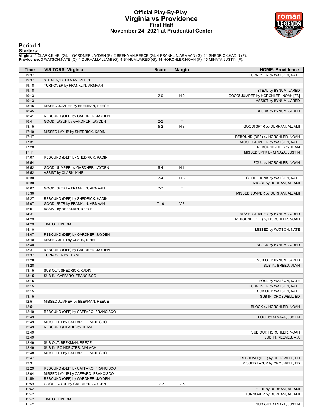# **Official Play-By-Play Virginia vs Providence First Half November 24, 2021 at Prudential Center**



# **Period 1**

<mark>Startersː</mark><br>Virginia: 0 CLARK,KIHEI (G); 1 GARDNER,JAYDEN (F); 2 BEEKMAN,REECE (G); 4 FRANKLIN,ARMAAN (G); 21 SHEDRICK,KADIN (F);<br>Providence: 0 WATSON,NATE (C); 1 DURHAM,ALJAMI (G); 4 BYNUM,JARED (G); 14 HORCHLER,NOAH (F)

| <b>Time</b> | <b>VISITORS: Virginia</b>           | <b>Score</b> | <b>Margin</b>  | <b>HOME: Providence</b>             |
|-------------|-------------------------------------|--------------|----------------|-------------------------------------|
| 19:37       |                                     |              |                | TURNOVER by WATSON, NATE            |
| 19:37       | STEAL by BEEKMAN, REECE             |              |                |                                     |
| 19:18       | TURNOVER by FRANKLIN, ARMAAN        |              |                |                                     |
| 19:18       |                                     |              |                | STEAL by BYNUM, JARED               |
| 19:13       |                                     | $2 - 0$      | H <sub>2</sub> | GOOD! JUMPER by HORCHLER, NOAH [FB] |
| 19:13       |                                     |              |                | ASSIST by BYNUM, JARED              |
| 18:45       | MISSED JUMPER by BEEKMAN, REECE     |              |                |                                     |
| 18:45       |                                     |              |                | BLOCK by BYNUM, JARED               |
| 18:41       | REBOUND (OFF) by GARDNER, JAYDEN    |              |                |                                     |
| 18:41       | GOOD! LAYUP by GARDNER, JAYDEN      | $2 - 2$      | $\mathsf{T}$   |                                     |
| 18:15       |                                     | $5 - 2$      | H <sub>3</sub> | GOOD! 3PTR by DURHAM, ALJAMI        |
| 17:49       | MISSED LAYUP by SHEDRICK, KADIN     |              |                |                                     |
| 17:47       |                                     |              |                | REBOUND (DEF) by HORCHLER, NOAH     |
| 17:31       |                                     |              |                | MISSED JUMPER by WATSON, NATE       |
| 17:28       |                                     |              |                | REBOUND (OFF) by TEAM               |
| 17:11       |                                     |              |                | MISSED 3PTR by MINAYA, JUSTIN       |
| 17:07       | REBOUND (DEF) by SHEDRICK, KADIN    |              |                |                                     |
| 16:54       |                                     |              |                | FOUL by HORCHLER, NOAH              |
| 16:52       | GOOD! JUMPER by GARDNER, JAYDEN     | $5 - 4$      | H <sub>1</sub> |                                     |
| 16:52       | ASSIST by CLARK, KIHEI              |              |                |                                     |
| 16:30       |                                     | $7 - 4$      | H <sub>3</sub> | GOOD! DUNK by WATSON, NATE          |
| 16:30       |                                     |              |                | ASSIST by DURHAM, ALJAMI            |
| 16:07       | GOOD! 3PTR by FRANKLIN, ARMAAN      | $7 - 7$      | $\mathsf{T}$   |                                     |
| 15:30       |                                     |              |                | MISSED JUMPER by DURHAM, ALJAMI     |
| 15:27       | REBOUND (DEF) by SHEDRICK, KADIN    |              |                |                                     |
| 15:07       | GOOD! 3PTR by FRANKLIN, ARMAAN      | $7 - 10$     | V <sub>3</sub> |                                     |
| 15:07       | ASSIST by BEEKMAN, REECE            |              |                |                                     |
| 14:31       |                                     |              |                | MISSED JUMPER by BYNUM, JARED       |
| 14:29       |                                     |              |                | REBOUND (OFF) by HORCHLER, NOAH     |
| 14:29       | <b>TIMEOUT MEDIA</b>                |              |                |                                     |
| 14:10       |                                     |              |                | MISSED by WATSON, NATE              |
| 14:07       | REBOUND (DEF) by GARDNER, JAYDEN    |              |                |                                     |
| 13:40       | MISSED 3PTR by CLARK, KIHEI         |              |                |                                     |
| 13:40       |                                     |              |                | BLOCK by BYNUM, JARED               |
| 13:37       | REBOUND (OFF) by GARDNER, JAYDEN    |              |                |                                     |
| 13:37       | TURNOVER by TEAM                    |              |                |                                     |
| 13:28       |                                     |              |                | SUB OUT: BYNUM, JARED               |
| 13:28       |                                     |              |                | SUB IN: BREED, ALYN                 |
| 13:15       | SUB OUT: SHEDRICK, KADIN            |              |                |                                     |
| 13:15       | SUB IN: CAFFARO, FRANCISCO          |              |                |                                     |
| 13:15       |                                     |              |                | FOUL by WATSON, NATE                |
| 13:15       |                                     |              |                | TURNOVER by WATSON, NATE            |
| 13:15       |                                     |              |                | SUB OUT: WATSON, NATE               |
| 13:15       |                                     |              |                | SUB IN: CROSWELL, ED                |
| 12:51       | MISSED JUMPER by BEEKMAN, REECE     |              |                |                                     |
| 12:51       |                                     |              |                | BLOCK by HORCHLER, NOAH             |
| 12:49       | REBOUND (OFF) by CAFFARO, FRANCISCO |              |                |                                     |
| 12:49       |                                     |              |                | FOUL by MINAYA, JUSTIN              |
| 12:49       | MISSED FT by CAFFARO, FRANCISCO     |              |                |                                     |
| 12:49       | REBOUND (DEADB) by TEAM             |              |                |                                     |
| 12:49       |                                     |              |                | SUB OUT: HORCHLER, NOAH             |
| 12:49       |                                     |              |                | SUB IN: REEVES, A.J.                |
| 12:49       | SUB OUT: BEEKMAN, REECE             |              |                |                                     |
| 12:49       | SUB IN: POINDEXTER, MALACHI         |              |                |                                     |
| 12:48       | MISSED FT by CAFFARO, FRANCISCO     |              |                |                                     |
| 12:47       |                                     |              |                | REBOUND (DEF) by CROSWELL, ED       |
| 12:31       |                                     |              |                | MISSED LAYUP by CROSWELL, ED        |
| 12:29       | REBOUND (DEF) by CAFFARO, FRANCISCO |              |                |                                     |
| 12:04       | MISSED LAYUP by CAFFARO, FRANCISCO  |              |                |                                     |
| 11:59       | REBOUND (OFF) by GARDNER, JAYDEN    |              |                |                                     |
| 11:59       | GOOD! LAYUP by GARDNER, JAYDEN      | $7 - 12$     | V <sub>5</sub> |                                     |
| 11:42       |                                     |              |                | FOUL by DURHAM, ALJAMI              |
| 11:42       |                                     |              |                | TURNOVER by DURHAM, ALJAMI          |
| 11:42       | <b>TIMEOUT MEDIA</b>                |              |                |                                     |
| 11:42       |                                     |              |                | SUB OUT: MINAYA, JUSTIN             |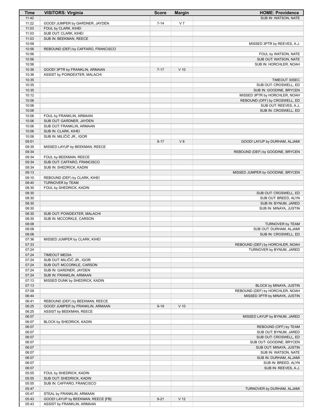| <b>Time</b>    | <b>VISITORS: Virginia</b>                       | <b>Score</b> | <b>Margin</b>   | <b>HOME: Providence</b>                                          |
|----------------|-------------------------------------------------|--------------|-----------------|------------------------------------------------------------------|
| 11:42          |                                                 |              |                 | SUB IN: WATSON, NATE                                             |
| 11:22          | GOOD! JUMPER by GARDNER, JAYDEN                 | $7 - 14$     | V <sub>7</sub>  |                                                                  |
| 11:03          | FOUL by CLARK, KIHEI                            |              |                 |                                                                  |
| 11:03<br>11:03 | SUB OUT: CLARK, KIHEI<br>SUB IN: BEEKMAN, REECE |              |                 |                                                                  |
| 10:58          |                                                 |              |                 | MISSED 3PTR by REEVES, A.J.                                      |
| 10:56          | REBOUND (DEF) by CAFFARO, FRANCISCO             |              |                 |                                                                  |
| 10:56          |                                                 |              |                 | FOUL by WATSON, NATE                                             |
| 10:56          |                                                 |              |                 | SUB OUT: WATSON, NATE                                            |
| 10:56          |                                                 |              |                 | SUB IN: HORCHLER, NOAH                                           |
| 10:36          | GOOD! 3PTR by FRANKLIN, ARMAAN                  | $7 - 17$     | $V$ 10          |                                                                  |
| 10:36          | ASSIST by POINDEXTER, MALACHI                   |              |                 |                                                                  |
| 10:35          |                                                 |              |                 | TIMEOUT 30SEC                                                    |
| 10:35<br>10:35 |                                                 |              |                 | SUB OUT: CROSWELL, ED<br>SUB IN: GOODINE, BRYCEN                 |
| 10:12          |                                                 |              |                 | MISSED 3PTR by HORCHLER, NOAH                                    |
| 10:06          |                                                 |              |                 | REBOUND (OFF) by CROSWELL, ED                                    |
| 10:06          |                                                 |              |                 | SUB OUT: REEVES, A.J.                                            |
| 10:06          |                                                 |              |                 | SUB IN: CROSWELL, ED                                             |
| 10:06          | FOUL by FRANKLIN, ARMAAN                        |              |                 |                                                                  |
| 10:06          | SUB OUT: GARDNER, JAYDEN                        |              |                 |                                                                  |
| 10:06          | SUB OUT: FRANKLIN, ARMAAN                       |              |                 |                                                                  |
| 10:06          | SUB IN: CLARK, KIHEI                            |              |                 |                                                                  |
| 10:06<br>09:51 | SUB IN: MILIČIĆ JR., IGOR                       |              | V8              |                                                                  |
| 09:35          | MISSED LAYUP by BEEKMAN, REECE                  | $9 - 17$     |                 | GOOD! LAYUP by DURHAM, ALJAMI                                    |
| 09:34          |                                                 |              |                 | REBOUND (DEF) by GOODINE, BRYCEN                                 |
| 09:34          | FOUL by BEEKMAN, REECE                          |              |                 |                                                                  |
| 09:34          | SUB OUT: CAFFARO, FRANCISCO                     |              |                 |                                                                  |
| 09:34          | SUB IN: SHEDRICK, KADIN                         |              |                 |                                                                  |
| 09:13          |                                                 |              |                 | MISSED JUMPER by GOODINE, BRYCEN                                 |
| 09:10          | REBOUND (DEF) by CLARK, KIHEI                   |              |                 |                                                                  |
| 08:40          | TURNOVER by TEAM                                |              |                 |                                                                  |
| 08:30          | FOUL by SHEDRICK, KADIN                         |              |                 |                                                                  |
| 08:30<br>08:30 |                                                 |              |                 | SUB OUT: CROSWELL, ED<br>SUB OUT: BREED, ALYN                    |
| 08:30          |                                                 |              |                 | SUB IN: BYNUM, JARED                                             |
| 08:30          |                                                 |              |                 | SUB IN: MINAYA, JUSTIN                                           |
| 08:30          | SUB OUT: POINDEXTER, MALACHI                    |              |                 |                                                                  |
| 08:30          | SUB IN: MCCORKLE, CARSON                        |              |                 |                                                                  |
| 08:08          |                                                 |              |                 | TURNOVER by TEAM                                                 |
| 08:08          |                                                 |              |                 | SUB OUT: DURHAM, ALJAMI                                          |
| 08:08          |                                                 |              |                 | SUB IN: CROSWELL, ED                                             |
| 07:36<br>07:33 | MISSED JUMPER by CLARK, KIHEI                   |              |                 | REBOUND (DEF) by HORCHLER, NOAH                                  |
| 07:24          |                                                 |              |                 | TURNOVER by BYNUM, JARED                                         |
| 07:24          | <b>TIMEOUT MEDIA</b>                            |              |                 |                                                                  |
| 07:24          | SUB OUT: MILIČIĆ JR., IGOR                      |              |                 |                                                                  |
| 07:24          | SUB OUT: MCCORKLE, CARSON                       |              |                 |                                                                  |
| 07:24          | SUB IN: GARDNER, JAYDEN                         |              |                 |                                                                  |
| 07:24          | SUB IN: FRANKLIN, ARMAAN                        |              |                 |                                                                  |
| 07:13          | MISSED DUNK by SHEDRICK, KADIN                  |              |                 |                                                                  |
| 07:13<br>07:09 |                                                 |              |                 | BLOCK by MINAYA, JUSTIN                                          |
| 06:44          |                                                 |              |                 | REBOUND (DEF) by HORCHLER, NOAH<br>MISSED 3PTR by MINAYA, JUSTIN |
| 06:41          | REBOUND (DEF) by BEEKMAN, REECE                 |              |                 |                                                                  |
| 06:25          | GOOD! JUMPER by FRANKLIN, ARMAAN                | $9 - 19$     | $V$ 10          |                                                                  |
| 06:25          | ASSIST by BEEKMAN, REECE                        |              |                 |                                                                  |
| 06:07          |                                                 |              |                 | MISSED LAYUP by BYNUM, JARED                                     |
| 06:07          | BLOCK by SHEDRICK, KADIN                        |              |                 |                                                                  |
| 06:07          |                                                 |              |                 | REBOUND (OFF) by TEAM                                            |
| 06:07          |                                                 |              |                 | SUB OUT: BYNUM, JARED                                            |
| 06:07<br>06:07 |                                                 |              |                 | SUB OUT: CROSWELL, ED                                            |
| 06:07          |                                                 |              |                 | SUB OUT: GOODINE, BRYCEN<br>SUB OUT: MINAYA, JUSTIN              |
| 06:07          |                                                 |              |                 | SUB IN: WATSON, NATE                                             |
| 06:07          |                                                 |              |                 | SUB IN: DURHAM, ALJAMI                                           |
| 06:07          |                                                 |              |                 | SUB IN: BREED, ALYN                                              |
| 06:07          |                                                 |              |                 | SUB IN: REEVES, A.J.                                             |
| 05:55          | FOUL by SHEDRICK, KADIN                         |              |                 |                                                                  |
| 05:55          | SUB OUT: SHEDRICK, KADIN                        |              |                 |                                                                  |
| 05:55          | SUB IN: CAFFARO, FRANCISCO                      |              |                 |                                                                  |
| 05:47<br>05:47 | STEAL by FRANKLIN, ARMAAN                       |              |                 | TURNOVER by DURHAM, ALJAMI                                       |
| 05:43          | GOOD! LAYUP by BEEKMAN, REECE [FB]              | $9 - 21$     | V <sub>12</sub> |                                                                  |
| 05:43          | ASSIST by FRANKLIN, ARMAAN                      |              |                 |                                                                  |
|                |                                                 |              |                 |                                                                  |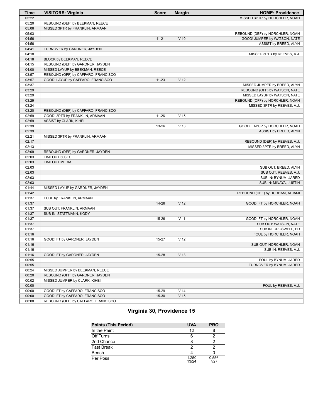| <b>Time</b> | <b>VISITORS: Virginia</b>           | <b>Score</b> | <b>Margin</b>   | <b>HOME: Providence</b>         |
|-------------|-------------------------------------|--------------|-----------------|---------------------------------|
| 05:22       |                                     |              |                 | MISSED 3PTR by HORCHLER, NOAH   |
| 05:20       | REBOUND (DEF) by BEEKMAN, REECE     |              |                 |                                 |
| 05:06       | MISSED 3PTR by FRANKLIN, ARMAAN     |              |                 |                                 |
| 05:03       |                                     |              |                 | REBOUND (DEF) by HORCHLER, NOAH |
| 04:56       |                                     | $11 - 21$    | $V$ 10          | GOOD! JUMPER by WATSON, NATE    |
| 04:56       |                                     |              |                 | ASSIST by BREED, ALYN           |
| 04:41       | TURNOVER by GARDNER, JAYDEN         |              |                 |                                 |
| 04:18       |                                     |              |                 | MISSED 3PTR by REEVES, A.J.     |
| 04:18       | BLOCK by BEEKMAN, REECE             |              |                 |                                 |
| 04:15       | REBOUND (DEF) by GARDNER, JAYDEN    |              |                 |                                 |
| 04:00       | MISSED LAYUP by BEEKMAN, REECE      |              |                 |                                 |
| 03:57       | REBOUND (OFF) by CAFFARO, FRANCISCO |              |                 |                                 |
| 03:57       | GOOD! LAYUP by CAFFARO, FRANCISCO   | $11 - 23$    | V <sub>12</sub> |                                 |
| 03:37       |                                     |              |                 | MISSED JUMPER by BREED, ALYN    |
| 03:29       |                                     |              |                 | REBOUND (OFF) by WATSON, NATE   |
| 03:29       |                                     |              |                 | MISSED LAYUP by WATSON, NATE    |
| 03:29       |                                     |              |                 | REBOUND (OFF) by HORCHLER, NOAH |
| 03:24       |                                     |              |                 | MISSED 3PTR by REEVES, A.J.     |
| 03:20       | REBOUND (DEF) by CAFFARO, FRANCISCO |              |                 |                                 |
| 02:59       | GOOD! 3PTR by FRANKLIN, ARMAAN      | $11 - 26$    | V <sub>15</sub> |                                 |
| 02:59       | ASSIST by CLARK, KIHEI              |              |                 |                                 |
| 02:39       |                                     | 13-26        | V <sub>13</sub> | GOOD! LAYUP by HORCHLER, NOAH   |
| 02:39       |                                     |              |                 | ASSIST by BREED, ALYN           |
| 02:21       | MISSED 3PTR by FRANKLIN, ARMAAN     |              |                 |                                 |
| 02:17       |                                     |              |                 | REBOUND (DEF) by REEVES, A.J.   |
| 02:13       |                                     |              |                 | MISSED 3PTR by BREED, ALYN      |
| 02:09       | REBOUND (DEF) by GARDNER, JAYDEN    |              |                 |                                 |
| 02:03       | TIMEOUT 30SEC                       |              |                 |                                 |
| 02:03       | <b>TIMEOUT MEDIA</b>                |              |                 |                                 |
| 02:03       |                                     |              |                 | SUB OUT: BREED, ALYN            |
| 02:03       |                                     |              |                 | SUB OUT: REEVES, A.J.           |
| 02:03       |                                     |              |                 | SUB IN: BYNUM, JARED            |
| 02:03       |                                     |              |                 | SUB IN: MINAYA, JUSTIN          |
| 01:44       | MISSED LAYUP by GARDNER, JAYDEN     |              |                 |                                 |
| 01:42       |                                     |              |                 | REBOUND (DEF) by DURHAM, ALJAMI |
| 01:37       | FOUL by FRANKLIN, ARMAAN            |              |                 |                                 |
| 01:37       |                                     | 14-26        | V <sub>12</sub> | GOOD! FT by HORCHLER, NOAH      |
| 01:37       | SUB OUT: FRANKLIN, ARMAAN           |              |                 |                                 |
| 01:37       | SUB IN: STATTMANN, KODY             |              |                 |                                 |
| 01:37       |                                     | 15-26        | $V$ 11          | GOOD! FT by HORCHLER, NOAH      |
| 01:37       |                                     |              |                 | SUB OUT: WATSON, NATE           |
| 01:37       |                                     |              |                 | SUB IN: CROSWELL, ED            |
| 01:16       |                                     |              |                 | FOUL by HORCHLER, NOAH          |
| 01:16       | GOOD! FT by GARDNER, JAYDEN         | 15-27        | V <sub>12</sub> |                                 |
| 01:16       |                                     |              |                 | SUB OUT: HORCHLER, NOAH         |
| 01:16       |                                     |              |                 | SUB IN: REEVES, A.J.            |
| 01:16       | GOOD! FT by GARDNER, JAYDEN         | 15-28        | V <sub>13</sub> |                                 |
| 00:55       |                                     |              |                 | FOUL by BYNUM, JARED            |
| 00:55       |                                     |              |                 | TURNOVER by BYNUM, JARED        |
| 00:24       | MISSED JUMPER by BEEKMAN, REECE     |              |                 |                                 |
| 00:20       | REBOUND (OFF) by GARDNER, JAYDEN    |              |                 |                                 |
| 00:02       | MISSED JUMPER by CLARK, KIHEI       |              |                 |                                 |
| 00:00       |                                     |              |                 | FOUL by REEVES, A.J.            |
| 00:00       | GOOD! FT by CAFFARO, FRANCISCO      | 15-29        | V <sub>14</sub> |                                 |
| 00:00       | GOOD! FT by CAFFARO, FRANCISCO      | 15-30        | V <sub>15</sub> |                                 |
| 00:00       | REBOUND (OFF) by CAFFARO, FRANCISCO |              |                 |                                 |

# **Virginia 30, Providence 15**

| <b>Points (This Period)</b> | <b>UVA</b>     | <b>PRO</b>    |
|-----------------------------|----------------|---------------|
| In the Paint                | 12             |               |
| Off Turns                   |                |               |
| 2nd Chance                  |                |               |
| Fast Break                  |                |               |
| Bench                       |                |               |
| Per Poss                    | 1.250<br>13/24 | 0.556<br>7/27 |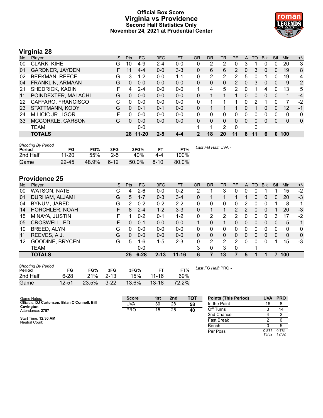# **Official Box Score Virginia vs Providence Second Half Statistics Only November 24, 2021 at Prudential Center**



# **Virginia 28**

| No. | Player                 | S  | <b>Pts</b> | <b>FG</b> | 3FG     | <b>FT</b> | <b>OR</b> | DR | TR       | PF                    | A        | TO | <b>Blk</b>     | Stl | Min | $+/-$        |
|-----|------------------------|----|------------|-----------|---------|-----------|-----------|----|----------|-----------------------|----------|----|----------------|-----|-----|--------------|
| 00  | <b>CLARK, KIHEI</b>    | G  | 10         | $4-9$     | $2 - 4$ | $0 - 0$   | 0         | 2  | 2        | 0                     | 3        |    | 0              | 0   | 20  | 3            |
| 01  | <b>GARDNER, JAYDEN</b> | F. | 11         | $4 - 4$   | $0 - 0$ | $3 - 3$   | 0         | 6  | 6        | 2                     | 0        | 3  | $\Omega$       | 0   | 19  | 8            |
| 02  | <b>BEEKMAN, REECE</b>  | G  | 3          | $1 - 2$   | $0 - 0$ | $1 - 1$   | 0         | 2  | 2        | 2                     | 5        | 0  |                | 0   | 19  | 4            |
| 04  | FRANKLIN, ARMAAN       | G  | 0          | $0 - 0$   | $0 - 0$ | $0 - 0$   | 0         | 0  | 0        | $\mathbf{2}^{\prime}$ | 0        | 3  | $\overline{0}$ | 0   | 9   | 2            |
| 21  | SHEDRICK, KADIN        | F  | 4          | $2 - 4$   | $0 - 0$ | $0-0$     |           | 4  | 5        | 2                     | 0        |    | 4              | 0   | 13  | 5            |
| 11  | POINDEXTER, MALACHI    | G  | 0          | $0 - 0$   | $0 - 0$ | $0 - 0$   | 0         |    |          |                       | $\Omega$ | 0  | 0              | 0   |     | $-4$         |
| 22  | CAFFARO, FRANCISCO     | С  | 0          | $0 - 0$   | $0 - 0$ | $0 - 0$   | $\Omega$  |    |          |                       | 0        | 2  |                | 0   | 7   | -2           |
| 23  | STATTMANN, KODY        | G  | 0          | $0 - 1$   | $0 - 1$ | $0 - 0$   | 0         |    |          |                       | 0        |    | 0              | 0   | 12  | $-1$         |
| 24  | MILIČIĆ JR., IGOR      | F  | 0          | $0 - 0$   | $0 - 0$ | $0 - 0$   | 0         | 0  | 0        | 0                     | 0        | 0  | 0              | 0   | 0   | 0            |
| 33  | MCCORKLE, CARSON       | G  | 0          | $0 - 0$   | $0 - 0$ | $0 - 0$   | 0         | 0  | $\Omega$ | 0                     | $\Omega$ | 0  | $\Omega$       | 0   | 0   | $\mathbf{0}$ |
|     | TEAM                   |    |            | $0-0$     |         |           |           |    | 2        | $\Omega$              |          | 0  |                |     |     |              |
|     | <b>TOTALS</b>          |    | 28         | $11 - 20$ | 2-5     | $4 - 4$   | 2         | 18 | 20       | 11                    | 8        | 11 | 6              | 0   | 100 |              |

| <b>Shooting By Period</b><br>Period | FG        | FG%   | 3FG      | 3FG%  | FТ     | FT%   | Last FG Half: UVA - |
|-------------------------------------|-----------|-------|----------|-------|--------|-------|---------------------|
| 2nd Half                            | $11 - 20$ | 55%   | $2 - 5$  | 40%   | 4-4    | 100%  |                     |
| Game                                | $22 - 45$ | 48.9% | $6 - 12$ | 50.0% | $8-10$ | 80.0% |                     |

# **Providence 25**

| No. | Plaver                 | S | <b>Pts</b>     | FG       | 3FG      | <b>FT</b> | <b>OR</b> | <b>DR</b> | TR       | <b>PF</b>            | A | TO | <b>Blk</b> | Stl      | Min | $+/-$        |
|-----|------------------------|---|----------------|----------|----------|-----------|-----------|-----------|----------|----------------------|---|----|------------|----------|-----|--------------|
| 00  | WATSON, NATE           | С | 4              | $2-6$    | $0 - 0$  | $0 - 2$   | າ         |           | 3        | 0                    | 0 | 0  |            |          | 15  | $-2$         |
| 01  | DURHAM, ALJAMI         | G | 5              | $1 - 7$  | $0 - 3$  | $3 - 4$   | 0         |           |          |                      |   | 0  | 0          | 0        | 20  | -3           |
| 04  | BYNUM, JARED           | G | $\overline{2}$ | $0 - 2$  | $0 - 2$  | $2 - 2$   | 0         | 0         | 0        | 0                    | 2 | O  |            |          | 8   | -1           |
| 14  | <b>HORCHLER, NOAH</b>  | F | 8              | $2 - 4$  | $1-2$    | $3 - 3$   | 0         |           |          | $\mathbf{2}^{\circ}$ | 2 | 0  | 0          |          | 20  | $-3$         |
| 15  | MINAYA, JUSTIN         |   |                | $0 - 2$  | $0 - 1$  | $1-2$     | 0         | 2         | 2        |                      | 0 | 0  | 0          | 3        | 17  | $-2$         |
| 05  | <b>CROSWELL, ED</b>    | F | 0              | $0 - 1$  | $0 - 0$  | $0 - 0$   |           | 0         |          | 0                    | 0 | 0  | $\Omega$   | $\Omega$ | 5   | $-1$         |
| 10  | BREED, ALYN            | G | 0              | $0 - 0$  | $0 - 0$  | $0 - 0$   | 0         | 0         | 0        | 0                    | 0 | 0  | $\Omega$   | 0        | 0   | $\mathbf{0}$ |
| 11  | REEVES, A.J.           | G | 0              | $0 - 0$  | $0 - 0$  | $0 - 0$   | 0         | 0         | $\Omega$ | 0                    | 0 | 0  | 0          | 0        | 0   | $\mathbf{0}$ |
| 12  | <b>GOODINE, BRYCEN</b> | G | 5              | 1-6      | 1-5      | $2 - 3$   | 0         | 2         | 2        | 2                    | ∩ | 0  | 0          |          | 15  | $-3$         |
|     | <b>TEAM</b>            |   |                | $0 - 0$  |          |           | 3         | 0         | 3        | $\Omega$             |   |    |            |          |     |              |
|     | <b>TOTALS</b>          |   | 25             | $6 - 28$ | $2 - 13$ | $11 - 16$ | 6         |           | 13       |                      | 5 |    |            |          | 100 |              |

| <b>Shooting By Period</b><br>Period | FG       | FG%   | 3FG      | 3FG%  |           | FT%   |
|-------------------------------------|----------|-------|----------|-------|-----------|-------|
| 2nd Half                            | $6 - 28$ | 21%   | $2 - 13$ | 15%   | $11 - 16$ | 69%   |
| Game                                | 12-51    | 23.5% | $3 - 22$ | 13.6% | $13 - 18$ | 72.2% |

*Last FG Half:* PRO -

Per Poss

13/32 0.781 12/32

| Game Notes:                                                 | <b>Score</b> | 1st | 2 <sub>nd</sub> | TOT | <b>Points (This Period)</b> | <b>UVA</b> | <b>PRO</b> |
|-------------------------------------------------------------|--------------|-----|-----------------|-----|-----------------------------|------------|------------|
| Officials: DJ Cartensen, Brian O'Connell, Bill<br>Covington | UVA          | 30  | 28              | 58  | In the Paint                | 16         |            |
| Attendance: 2787                                            | <b>PRO</b>   | 15  | 25              | 40  | Off Turns                   |            | 14         |
|                                                             |              |     |                 |     | 2nd Chance                  |            |            |
| Start Time: 12:30 AM<br>Neutral Court:                      |              |     |                 |     | <b>Fast Break</b>           |            |            |
|                                                             |              |     |                 |     | Bench                       |            |            |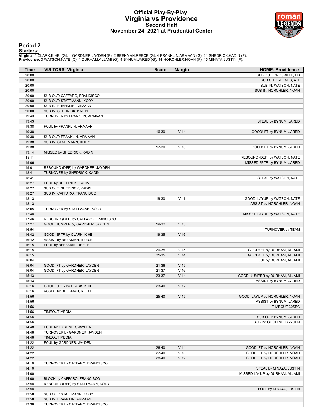# **Official Play-By-Play Virginia vs Providence Second Half November 24, 2021 at Prudential Center**



# **Period 2**

<mark>Startersː</mark><br>Virginia: 0 CLARK,KIHEI (G); 1 GARDNER,JAYDEN (F); 2 BEEKMAN,REECE (G); 4 FRANKLIN,ARMAAN (G); 21 SHEDRICK,KADIN (F);<br>Providence: 0 WATSON,NATE (C); 1 DURHAM,ALJAMI (G); 4 BYNUM,JARED (G); 14 HORCHLER,NOAH (F)

| <b>Time</b>    | <b>VISITORS: Virginia</b>                                       | <b>Score</b> | <b>Margin</b>   | <b>HOME: Providence</b>        |
|----------------|-----------------------------------------------------------------|--------------|-----------------|--------------------------------|
| 20:00          |                                                                 |              |                 | SUB OUT: CROSWELL, ED          |
| 20:00          |                                                                 |              |                 | SUB OUT: REEVES, A.J.          |
| 20:00          |                                                                 |              |                 | SUB IN: WATSON, NATE           |
| 20:00          |                                                                 |              |                 | SUB IN: HORCHLER, NOAH         |
| 20:00          | SUB OUT: CAFFARO, FRANCISCO                                     |              |                 |                                |
| 20:00          | SUB OUT: STATTMANN, KODY                                        |              |                 |                                |
| 20:00          | SUB IN: FRANKLIN, ARMAAN                                        |              |                 |                                |
| 20:00          | SUB IN: SHEDRICK, KADIN                                         |              |                 |                                |
| 19:43          | TURNOVER by FRANKLIN, ARMAAN                                    |              |                 |                                |
| 19:43          |                                                                 |              |                 | STEAL by BYNUM, JARED          |
| 19:38          | FOUL by FRANKLIN, ARMAAN                                        |              |                 |                                |
| 19:38          |                                                                 | 16-30        | V <sub>14</sub> | GOOD! FT by BYNUM, JARED       |
| 19:38          | SUB OUT: FRANKLIN, ARMAAN                                       |              |                 |                                |
| 19:38          | SUB IN: STATTMANN, KODY                                         |              |                 |                                |
| 19:38          |                                                                 | 17-30        | V <sub>13</sub> | GOOD! FT by BYNUM, JARED       |
| 19:14          | MISSED by SHEDRICK, KADIN                                       |              |                 |                                |
| 19:11          |                                                                 |              |                 | REBOUND (DEF) by WATSON, NATE  |
| 19:06          |                                                                 |              |                 | MISSED 3PTR by BYNUM, JARED    |
| 19:01<br>18:41 | REBOUND (DEF) by GARDNER, JAYDEN<br>TURNOVER by SHEDRICK, KADIN |              |                 |                                |
| 18:41          |                                                                 |              |                 | STEAL by WATSON, NATE          |
| 18:27          | FOUL by SHEDRICK, KADIN                                         |              |                 |                                |
| 18:27          | SUB OUT: SHEDRICK, KADIN                                        |              |                 |                                |
| 18:27          | SUB IN: CAFFARO, FRANCISCO                                      |              |                 |                                |
| 18:13          |                                                                 | 19-30        | $V$ 11          | GOOD! LAYUP by WATSON, NATE    |
| 18:13          |                                                                 |              |                 | ASSIST by HORCHLER, NOAH       |
| 18:05          | TURNOVER by STATTMANN, KODY                                     |              |                 |                                |
| 17:48          |                                                                 |              |                 | MISSED LAYUP by WATSON, NATE   |
| 17:46          | REBOUND (DEF) by CAFFARO, FRANCISCO                             |              |                 |                                |
| 17:27          | GOOD! JUMPER by GARDNER, JAYDEN                                 | 19-32        | V <sub>13</sub> |                                |
| 16:54          |                                                                 |              |                 | TURNOVER by TEAM               |
| 16:42          | GOOD! 3PTR by CLARK, KIHEI                                      | 19-35        | $V$ 16          |                                |
| 16:42          | ASSIST by BEEKMAN, REECE                                        |              |                 |                                |
| 16:15          | FOUL by BEEKMAN, REECE                                          |              |                 |                                |
| 16:15          |                                                                 | 20-35        | V <sub>15</sub> | GOOD! FT by DURHAM, ALJAMI     |
| 16:15          |                                                                 | 21-35        | V <sub>14</sub> | GOOD! FT by DURHAM, ALJAMI     |
| 16:04          |                                                                 |              |                 | FOUL by DURHAM, ALJAMI         |
| 16:04          | GOOD! FT by GARDNER, JAYDEN                                     | 21-36        | V <sub>15</sub> |                                |
| 16:04          | GOOD! FT by GARDNER, JAYDEN                                     | 21-37        | V <sub>16</sub> |                                |
| 15:43          |                                                                 | 23-37        | V <sub>14</sub> | GOOD! JUMPER by DURHAM, ALJAMI |
| 15:43          |                                                                 |              |                 | ASSIST by BYNUM, JARED         |
| 15:16          | GOOD! 3PTR by CLARK, KIHEI                                      | 23-40        | V 17            |                                |
| 15:16          | ASSIST by BEEKMAN, REECE                                        |              |                 |                                |
| 14:56          |                                                                 | 25-40        | V <sub>15</sub> | GOOD! LAYUP by HORCHLER, NOAH  |
| 14:56          |                                                                 |              |                 | ASSIST by BYNUM, JARED         |
| 14:56          |                                                                 |              |                 | TIMEOUT 30SEC                  |
| 14:56          | <b>TIMEOUT MEDIA</b>                                            |              |                 |                                |
| 14:56          |                                                                 |              |                 | SUB OUT: BYNUM, JARED          |
| 14:56<br>14:48 | FOUL by GARDNER, JAYDEN                                         |              |                 | SUB IN: GOODINE, BRYCEN        |
| 14:48          | TURNOVER by GARDNER, JAYDEN                                     |              |                 |                                |
| 14:48          | <b>TIMEOUT MEDIA</b>                                            |              |                 |                                |
| 14:22          | FOUL by GARDNER, JAYDEN                                         |              |                 |                                |
| 14:22          |                                                                 | 26-40        | V <sub>14</sub> | GOOD! FT by HORCHLER, NOAH     |
| 14:22          |                                                                 | 27-40        | V <sub>13</sub> | GOOD! FT by HORCHLER, NOAH     |
| 14:22          |                                                                 | 28-40        | V <sub>12</sub> | GOOD! FT by HORCHLER, NOAH     |
| 14:10          | TURNOVER by CAFFARO, FRANCISCO                                  |              |                 |                                |
| 14:10          |                                                                 |              |                 | STEAL by MINAYA, JUSTIN        |
| 14:00          |                                                                 |              |                 | MISSED LAYUP by DURHAM, ALJAMI |
| 14:00          | BLOCK by CAFFARO, FRANCISCO                                     |              |                 |                                |
| 13:58          | REBOUND (DEF) by STATTMANN, KODY                                |              |                 |                                |
| 13:58          |                                                                 |              |                 | FOUL by MINAYA, JUSTIN         |
| 13:58          | SUB OUT: STATTMANN, KODY                                        |              |                 |                                |
| 13:58          | SUB IN: FRANKLIN, ARMAAN                                        |              |                 |                                |
| 13:38          | TURNOVER by CAFFARO, FRANCISCO                                  |              |                 |                                |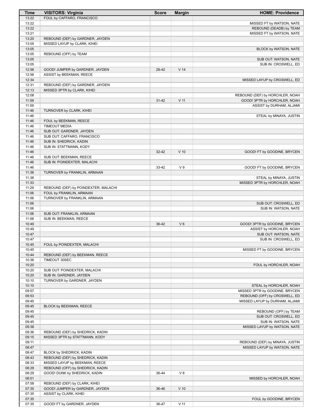| Time           | <b>VISITORS: Virginia</b>                                          | <b>Score</b> | <b>Margin</b>   | <b>HOME: Providence</b>                                   |
|----------------|--------------------------------------------------------------------|--------------|-----------------|-----------------------------------------------------------|
| 13:22          | FOUL by CAFFARO, FRANCISCO                                         |              |                 |                                                           |
| 13:22          |                                                                    |              |                 | MISSED FT by WATSON, NATE                                 |
| 13:22          |                                                                    |              |                 | REBOUND (DEADB) by TEAM                                   |
| 13:21<br>13:20 | REBOUND (DEF) by GARDNER, JAYDEN                                   |              |                 | MISSED FT by WATSON, NATE                                 |
| 13:05          | MISSED LAYUP by CLARK, KIHEI                                       |              |                 |                                                           |
| 13:05          |                                                                    |              |                 | BLOCK by WATSON, NATE                                     |
| 13:05          | REBOUND (OFF) by TEAM                                              |              |                 |                                                           |
| 13:05          |                                                                    |              |                 | SUB OUT: WATSON, NATE                                     |
| 13:05          |                                                                    |              |                 | SUB IN: CROSWELL, ED                                      |
| 12:56          | GOOD! JUMPER by GARDNER, JAYDEN                                    | 28-42        | V <sub>14</sub> |                                                           |
| 12:56          | ASSIST by BEEKMAN, REECE                                           |              |                 |                                                           |
| 12:34          |                                                                    |              |                 | MISSED LAYUP by CROSWELL, ED                              |
| 12:31<br>12:13 | REBOUND (DEF) by GARDNER, JAYDEN<br>MISSED 3PTR by CLARK, KIHEI    |              |                 |                                                           |
| 12:08          |                                                                    |              |                 | REBOUND (DEF) by HORCHLER, NOAH                           |
| 11:59          |                                                                    | $31 - 42$    | $V$ 11          | GOOD! 3PTR by HORCHLER, NOAH                              |
| 11:59          |                                                                    |              |                 | ASSIST by DURHAM, ALJAMI                                  |
| 11:46          | TURNOVER by CLARK, KIHEI                                           |              |                 |                                                           |
| 11:46          |                                                                    |              |                 | STEAL by MINAYA, JUSTIN                                   |
| 11:46          | FOUL by BEEKMAN, REECE                                             |              |                 |                                                           |
| 11:46          | <b>TIMEOUT MEDIA</b>                                               |              |                 |                                                           |
| 11:46<br>11:46 | SUB OUT: GARDNER, JAYDEN<br>SUB OUT: CAFFARO, FRANCISCO            |              |                 |                                                           |
| 11:46          | SUB IN: SHEDRICK, KADIN                                            |              |                 |                                                           |
| 11:46          | SUB IN: STATTMANN, KODY                                            |              |                 |                                                           |
| 11:46          |                                                                    | 32-42        | $V$ 10          | GOOD! FT by GOODINE, BRYCEN                               |
| 11:46          | SUB OUT: BEEKMAN, REECE                                            |              |                 |                                                           |
| 11:46          | SUB IN: POINDEXTER, MALACHI                                        |              |                 |                                                           |
| 11:46          |                                                                    | 33-42        | V <sub>9</sub>  | GOOD! FT by GOODINE, BRYCEN                               |
| 11:38          | TURNOVER by FRANKLIN, ARMAAN                                       |              |                 |                                                           |
| 11:38<br>11:33 |                                                                    |              |                 | STEAL by MINAYA, JUSTIN<br>MISSED 3PTR by HORCHLER, NOAH  |
| 11:29          | REBOUND (DEF) by POINDEXTER, MALACHI                               |              |                 |                                                           |
| 11:06          | FOUL by FRANKLIN, ARMAAN                                           |              |                 |                                                           |
| 11:06          | TURNOVER by FRANKLIN, ARMAAN                                       |              |                 |                                                           |
| 11:06          |                                                                    |              |                 | SUB OUT: CROSWELL, ED                                     |
| 11:06          |                                                                    |              |                 | SUB IN: WATSON, NATE                                      |
| 11:06          | SUB OUT: FRANKLIN, ARMAAN                                          |              |                 |                                                           |
| 11:06<br>10:49 | SUB IN: BEEKMAN, REECE                                             |              | $V_6$           |                                                           |
| 10:49          |                                                                    | 36-42        |                 | GOOD! 3PTR by GOODINE, BRYCEN<br>ASSIST by HORCHLER, NOAH |
| 10:47          |                                                                    |              |                 | SUB OUT: WATSON, NATE                                     |
| 10:47          |                                                                    |              |                 | SUB IN: CROSWELL, ED                                      |
| 10:45          | FOUL by POINDEXTER, MALACHI                                        |              |                 |                                                           |
| 10:45          |                                                                    |              |                 | MISSED FT by GOODINE, BRYCEN                              |
| 10:44          | REBOUND (DEF) by BEEKMAN, REECE                                    |              |                 |                                                           |
| 10:36          | TIMEOUT 30SEC                                                      |              |                 |                                                           |
| 10:20<br>10:20 |                                                                    |              |                 | FOUL by HORCHLER, NOAH                                    |
| 10:20          | SUB OUT: POINDEXTER, MALACHI<br>SUB IN: GARDNER, JAYDEN            |              |                 |                                                           |
| 10:10          | TURNOVER by GARDNER, JAYDEN                                        |              |                 |                                                           |
| 10:10          |                                                                    |              |                 | STEAL by HORCHLER, NOAH                                   |
| 09:57          |                                                                    |              |                 | MISSED 3PTR by GOODINE, BRYCEN                            |
| 09:53          |                                                                    |              |                 | REBOUND (OFF) by CROSWELL, ED                             |
| 09:45          |                                                                    |              |                 | MISSED LAYUP by DURHAM, ALJAMI                            |
| 09:45          | BLOCK by BEEKMAN, REECE                                            |              |                 |                                                           |
| 09:45<br>09:45 |                                                                    |              |                 | REBOUND (OFF) by TEAM<br>SUB OUT: CROSWELL, ED            |
| 09:45          |                                                                    |              |                 | SUB IN: WATSON, NATE                                      |
| 09:38          |                                                                    |              |                 | MISSED LAYUP by WATSON, NATE                              |
| 09:36          | REBOUND (DEF) by SHEDRICK, KADIN                                   |              |                 |                                                           |
| 09:15          | MISSED 3PTR by STATTMANN, KODY                                     |              |                 |                                                           |
| 09:11          |                                                                    |              |                 | REBOUND (DEF) by MINAYA, JUSTIN                           |
| 08:47          |                                                                    |              |                 | MISSED LAYUP by WATSON, NATE                              |
| 08:47          | BLOCK by SHEDRICK, KADIN                                           |              |                 |                                                           |
| 08:43<br>08:33 | REBOUND (DEF) by SHEDRICK, KADIN<br>MISSED LAYUP by BEEKMAN, REECE |              |                 |                                                           |
| 08:29          | REBOUND (OFF) by SHEDRICK, KADIN                                   |              |                 |                                                           |
| 08:29          | GOOD! DUNK by SHEDRICK, KADIN                                      | 36-44        | V8              |                                                           |
| 08:01          |                                                                    |              |                 | MISSED by HORCHLER, NOAH                                  |
| 07:58          | REBOUND (DEF) by CLARK, KIHEI                                      |              |                 |                                                           |
| 07:35          | GOOD! JUMPER by GARDNER, JAYDEN                                    | 36-46        | $V$ 10          |                                                           |
| 07:35          | ASSIST by CLARK, KIHEI                                             |              |                 |                                                           |
| 07:35          |                                                                    |              |                 | FOUL by GOODINE, BRYCEN                                   |
| 07:35          | GOOD! FT by GARDNER, JAYDEN                                        | 36-47        | $V$ 11          |                                                           |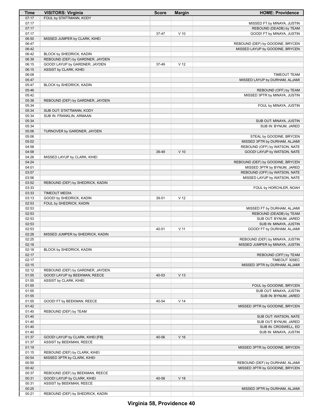| Time           | <b>VISITORS: Virginia</b>                           | <b>Score</b> | <b>Margin</b>   | <b>HOME: Providence</b>                                        |
|----------------|-----------------------------------------------------|--------------|-----------------|----------------------------------------------------------------|
| 07:17          | FOUL by STATTMANN, KODY                             |              |                 |                                                                |
| 07:17<br>07:17 |                                                     |              |                 | MISSED FT by MINAYA, JUSTIN                                    |
| 07:17          |                                                     | 37-47        | $V$ 10          | REBOUND (DEADB) by TEAM<br>GOOD! FT by MINAYA, JUSTIN          |
| 06:50          | MISSED JUMPER by CLARK, KIHEI                       |              |                 |                                                                |
| 06:47          |                                                     |              |                 | REBOUND (DEF) by GOODINE, BRYCEN                               |
| 06:42          |                                                     |              |                 | MISSED LAYUP by GOODINE, BRYCEN                                |
| 06:42          | BLOCK by SHEDRICK, KADIN                            |              |                 |                                                                |
| 06:39          | REBOUND (DEF) by GARDNER, JAYDEN                    |              |                 |                                                                |
| 06:15          | GOOD! LAYUP by GARDNER, JAYDEN                      | 37-49        | V <sub>12</sub> |                                                                |
| 06:15          | ASSIST by CLARK, KIHEI                              |              |                 |                                                                |
| 06:08          |                                                     |              |                 | <b>TIMEOUT TEAM</b>                                            |
| 05:47<br>05:47 | BLOCK by SHEDRICK, KADIN                            |              |                 | MISSED LAYUP by DURHAM, ALJAMI                                 |
| 05:46          |                                                     |              |                 | REBOUND (OFF) by TEAM                                          |
| 05:42          |                                                     |              |                 | MISSED 3PTR by MINAYA, JUSTIN                                  |
| 05:38          | REBOUND (DEF) by GARDNER, JAYDEN                    |              |                 |                                                                |
| 05:34          |                                                     |              |                 | FOUL by MINAYA, JUSTIN                                         |
| 05:34          | SUB OUT: STATTMANN, KODY                            |              |                 |                                                                |
| 05:34          | SUB IN: FRANKLIN, ARMAAN                            |              |                 |                                                                |
| 05:34          |                                                     |              |                 | SUB OUT: MINAYA, JUSTIN                                        |
| 05:34          |                                                     |              |                 | SUB IN: BYNUM, JARED                                           |
| 05:06          | TURNOVER by GARDNER, JAYDEN                         |              |                 |                                                                |
| 05:06          |                                                     |              |                 | STEAL by GOODINE, BRYCEN                                       |
| 05:02<br>04:58 |                                                     |              |                 | MISSED 3PTR by DURHAM, ALJAMI<br>REBOUND (OFF) by WATSON, NATE |
| 04:58          |                                                     | 39-49        | $V$ 10          | GOOD! LAYUP by WATSON, NATE                                    |
| 04:26          | MISSED LAYUP by CLARK, KIHEI                        |              |                 |                                                                |
| 04:24          |                                                     |              |                 | REBOUND (DEF) by GOODINE, BRYCEN                               |
| 04:01          |                                                     |              |                 | MISSED 3PTR by BYNUM, JARED                                    |
| 03:57          |                                                     |              |                 | REBOUND (OFF) by WATSON, NATE                                  |
| 03:56          |                                                     |              |                 | MISSED LAYUP by WATSON, NATE                                   |
| 03:52          | REBOUND (DEF) by SHEDRICK, KADIN                    |              |                 |                                                                |
| 03:33          |                                                     |              |                 | FOUL by HORCHLER, NOAH                                         |
| 03:33          | <b>TIMEOUT MEDIA</b>                                |              |                 |                                                                |
| 03:13<br>02:53 | GOOD! by SHEDRICK, KADIN<br>FOUL by SHEDRICK, KADIN | 39-51        | V <sub>12</sub> |                                                                |
| 02:53          |                                                     |              |                 | MISSED FT by DURHAM, ALJAMI                                    |
| 02:53          |                                                     |              |                 | REBOUND (DEADB) by TEAM                                        |
| 02:53          |                                                     |              |                 | SUB OUT: BYNUM, JARED                                          |
| 02:53          |                                                     |              |                 | SUB IN: MINAYA, JUSTIN                                         |
| 02:53          |                                                     | 40-51        | $V$ 11          | GOOD! FT by DURHAM, ALJAMI                                     |
| 02:28          | MISSED JUMPER by SHEDRICK, KADIN                    |              |                 |                                                                |
| 02:25          |                                                     |              |                 | REBOUND (DEF) by MINAYA, JUSTIN                                |
| 02:18          |                                                     |              |                 | MISSED JUMPER by MINAYA, JUSTIN                                |
| 02:18          | BLOCK by SHEDRICK, KADIN                            |              |                 |                                                                |
| 02:17<br>02:17 |                                                     |              |                 | REBOUND (OFF) by TEAM<br>TIMEOUT 30SEC                         |
| 02:15          |                                                     |              |                 | MISSED 3PTR by DURHAM, ALJAMI                                  |
| 02:12          | REBOUND (DEF) by GARDNER, JAYDEN                    |              |                 |                                                                |
| 01:55          | GOOD! LAYUP by BEEKMAN, REECE                       | 40-53        | V <sub>13</sub> |                                                                |
| 01:55          | ASSIST by CLARK, KIHEI                              |              |                 |                                                                |
| 01:55          |                                                     |              |                 | FOUL by GOODINE, BRYCEN                                        |
| 01:55          |                                                     |              |                 | SUB OUT: MINAYA, JUSTIN                                        |
| 01:55          |                                                     |              |                 | SUB IN: BYNUM, JARED                                           |
| 01:55          | GOOD! FT by BEEKMAN, REECE                          | 40-54        | V <sub>14</sub> |                                                                |
| 01:42          |                                                     |              |                 | MISSED 3PTR by GOODINE, BRYCEN                                 |
| 01:40<br>01:40 | REBOUND (DEF) by TEAM                               |              |                 |                                                                |
| 01:40          |                                                     |              |                 | SUB OUT: WATSON, NATE<br>SUB OUT: BYNUM, JARED                 |
| 01:40          |                                                     |              |                 | SUB IN: CROSWELL, ED                                           |
| 01:40          |                                                     |              |                 | SUB IN: MINAYA, JUSTIN                                         |
| 01:37          | GOOD! LAYUP by CLARK, KIHEI [FB]                    | 40-56        | $V$ 16          |                                                                |
| 01:37          | ASSIST by BEEKMAN, REECE                            |              |                 |                                                                |
| 01:19          |                                                     |              |                 | MISSED 3PTR by GOODINE, BRYCEN                                 |
| 01:15          | REBOUND (DEF) by CLARK, KIHEI                       |              |                 |                                                                |
| 00:54          | MISSED 3PTR by CLARK, KIHEI                         |              |                 |                                                                |
| 00:50          |                                                     |              |                 | REBOUND (DEF) by DURHAM, ALJAMI                                |
| 00:42          |                                                     |              |                 | MISSED 3PTR by GOODINE, BRYCEN                                 |
| 00:37          | REBOUND (DEF) by BEEKMAN, REECE                     |              |                 |                                                                |
| 00:31          | GOOD! LAYUP by CLARK, KIHEI                         | 40-58        | V <sub>18</sub> |                                                                |
| 00:31          | ASSIST by BEEKMAN, REECE                            |              |                 |                                                                |
| 00:25<br>00:21 | REBOUND (DEF) by SHEDRICK, KADIN                    |              |                 | MISSED 3PTR by DURHAM, ALJAMI                                  |
|                |                                                     |              |                 |                                                                |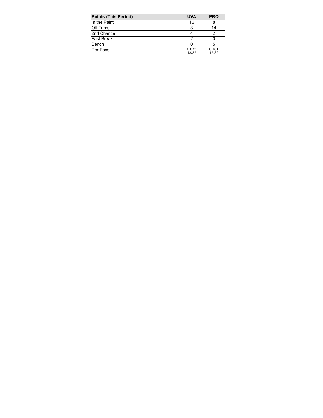| <b>Points (This Period)</b> | <b>UVA</b>     | <b>PRO</b>     |
|-----------------------------|----------------|----------------|
| In the Paint                | 16             |                |
| Off Turns                   |                | 14             |
| 2nd Chance                  |                |                |
| <b>Fast Break</b>           |                |                |
| Bench                       |                | 5              |
| Per Poss                    | 0.875<br>13/32 | 0.781<br>12/32 |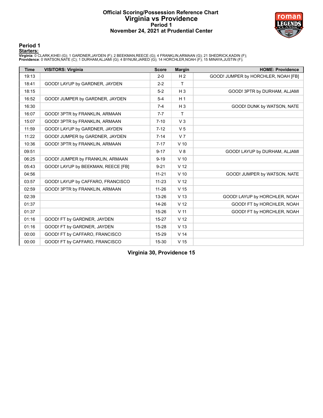# **Official Scoring/Possession Reference Chart Virginia vs Providence Period 1 November 24, 2021 at Prudential Center**



**Period 1**

<mark>Startersː</mark><br>Virginia: 0 CLARK,KIHEI (G); 1 GARDNER,JAYDEN (F); 2 BEEKMAN,REECE (G); 4 FRANKLIN,ARMAAN (G); 21 SHEDRICK,KADIN (F);<br>Providence: 0 WATSON,NATE (C); 1 DURHAM,ALJAMI (G); 4 BYNUM,JARED (G); 14 HORCHLER,NOAH (F)

| <b>Time</b> | <b>VISITORS: Virginia</b>          | <b>Score</b> | <b>Margin</b>   | <b>HOME: Providence</b>             |
|-------------|------------------------------------|--------------|-----------------|-------------------------------------|
| 19:13       |                                    | $2 - 0$      | H <sub>2</sub>  | GOOD! JUMPER by HORCHLER, NOAH [FB] |
| 18:41       | GOOD! LAYUP by GARDNER, JAYDEN     | $2 - 2$      | $\mathsf{T}$    |                                     |
| 18:15       |                                    | $5-2$        | $H_3$           | GOOD! 3PTR by DURHAM, ALJAMI        |
| 16:52       | GOOD! JUMPER by GARDNER, JAYDEN    | $5 - 4$      | H <sub>1</sub>  |                                     |
| 16:30       |                                    | $7 - 4$      | $H_3$           | GOOD! DUNK by WATSON, NATE          |
| 16:07       | GOOD! 3PTR by FRANKLIN, ARMAAN     | $7 - 7$      | T               |                                     |
| 15:07       | GOOD! 3PTR by FRANKLIN, ARMAAN     | $7 - 10$     | V <sub>3</sub>  |                                     |
| 11:59       | GOOD! LAYUP by GARDNER, JAYDEN     | $7 - 12$     | V <sub>5</sub>  |                                     |
| 11:22       | GOOD! JUMPER by GARDNER, JAYDEN    | $7 - 14$     | V <sub>7</sub>  |                                     |
| 10:36       | GOOD! 3PTR by FRANKLIN, ARMAAN     | $7 - 17$     | $V$ 10          |                                     |
| 09:51       |                                    | $9 - 17$     | V8              | GOOD! LAYUP by DURHAM, ALJAMI       |
| 06:25       | GOOD! JUMPER by FRANKLIN, ARMAAN   | $9 - 19$     | $V$ 10          |                                     |
| 05:43       | GOOD! LAYUP by BEEKMAN, REECE [FB] | $9 - 21$     | V <sub>12</sub> |                                     |
| 04:56       |                                    | $11 - 21$    | $V$ 10          | GOOD! JUMPER by WATSON, NATE        |
| 03:57       | GOOD! LAYUP by CAFFARO, FRANCISCO  | $11 - 23$    | V <sub>12</sub> |                                     |
| 02:59       | GOOD! 3PTR by FRANKLIN, ARMAAN     | $11 - 26$    | V <sub>15</sub> |                                     |
| 02:39       |                                    | 13-26        | V <sub>13</sub> | GOOD! LAYUP by HORCHLER, NOAH       |
| 01:37       |                                    | 14-26        | V <sub>12</sub> | GOOD! FT by HORCHLER, NOAH          |
| 01:37       |                                    | 15-26        | V <sub>11</sub> | GOOD! FT by HORCHLER, NOAH          |
| 01:16       | GOOD! FT by GARDNER, JAYDEN        | $15 - 27$    | V <sub>12</sub> |                                     |
| 01:16       | GOOD! FT by GARDNER, JAYDEN        | 15-28        | V <sub>13</sub> |                                     |
| 00:00       | GOOD! FT by CAFFARO, FRANCISCO     | 15-29        | V <sub>14</sub> |                                     |
| 00:00       | GOOD! FT by CAFFARO, FRANCISCO     | 15-30        | V <sub>15</sub> |                                     |

**Virginia 30, Providence 15**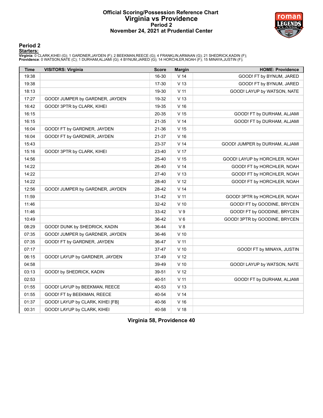## **Official Scoring/Possession Reference Chart Virginia vs Providence Period 2 November 24, 2021 at Prudential Center**



### **Period 2**

<mark>Startersː</mark><br>Virginia: 0 CLARK,KIHEI (G); 1 GARDNER,JAYDEN (F); 2 BEEKMAN,REECE (G); 4 FRANKLIN,ARMAAN (G); 21 SHEDRICK,KADIN (F);<br>Providence: 0 WATSON,NATE (C); 1 DURHAM,ALJAMI (G); 4 BYNUM,JARED (G); 14 HORCHLER,NOAH (F)

| <b>Time</b> | <b>VISITORS: Virginia</b>        | <b>Score</b> | <b>Margin</b>   | <b>HOME: Providence</b>        |
|-------------|----------------------------------|--------------|-----------------|--------------------------------|
| 19:38       |                                  | 16-30        | V <sub>14</sub> | GOOD! FT by BYNUM, JARED       |
| 19:38       |                                  | 17-30        | V <sub>13</sub> | GOOD! FT by BYNUM, JARED       |
| 18:13       |                                  | 19-30        | V <sub>11</sub> | GOOD! LAYUP by WATSON, NATE    |
| 17:27       | GOOD! JUMPER by GARDNER, JAYDEN  | 19-32        | V <sub>13</sub> |                                |
| 16:42       | GOOD! 3PTR by CLARK, KIHEI       | 19-35        | V <sub>16</sub> |                                |
| 16:15       |                                  | 20-35        | V <sub>15</sub> | GOOD! FT by DURHAM, ALJAMI     |
| 16:15       |                                  | 21-35        | V <sub>14</sub> | GOOD! FT by DURHAM, ALJAMI     |
| 16:04       | GOOD! FT by GARDNER, JAYDEN      | 21-36        | V <sub>15</sub> |                                |
| 16:04       | GOOD! FT by GARDNER, JAYDEN      | 21-37        | V <sub>16</sub> |                                |
| 15:43       |                                  | 23-37        | V <sub>14</sub> | GOOD! JUMPER by DURHAM, ALJAMI |
| 15:16       | GOOD! 3PTR by CLARK, KIHEI       | 23-40        | V <sub>17</sub> |                                |
| 14:56       |                                  | 25-40        | V <sub>15</sub> | GOOD! LAYUP by HORCHLER, NOAH  |
| 14:22       |                                  | 26-40        | V <sub>14</sub> | GOOD! FT by HORCHLER, NOAH     |
| 14:22       |                                  | 27-40        | V <sub>13</sub> | GOOD! FT by HORCHLER, NOAH     |
| 14:22       |                                  | 28-40        | V <sub>12</sub> | GOOD! FT by HORCHLER, NOAH     |
| 12:56       | GOOD! JUMPER by GARDNER, JAYDEN  | 28-42        | V <sub>14</sub> |                                |
| 11:59       |                                  | 31-42        | V <sub>11</sub> | GOOD! 3PTR by HORCHLER, NOAH   |
| 11:46       |                                  | 32-42        | $V$ 10          | GOOD! FT by GOODINE, BRYCEN    |
| 11:46       |                                  | 33-42        | V <sub>9</sub>  | GOOD! FT by GOODINE, BRYCEN    |
| 10:49       |                                  | 36-42        | $V_6$           | GOOD! 3PTR by GOODINE, BRYCEN  |
| 08:29       | GOOD! DUNK by SHEDRICK, KADIN    | 36-44        | V8              |                                |
| 07:35       | GOOD! JUMPER by GARDNER, JAYDEN  | 36-46        | $V$ 10          |                                |
| 07:35       | GOOD! FT by GARDNER, JAYDEN      | 36-47        | V <sub>11</sub> |                                |
| 07:17       |                                  | 37-47        | $V$ 10          | GOOD! FT by MINAYA, JUSTIN     |
| 06:15       | GOOD! LAYUP by GARDNER, JAYDEN   | 37-49        | V <sub>12</sub> |                                |
| 04:58       |                                  | 39-49        | $V$ 10          | GOOD! LAYUP by WATSON, NATE    |
| 03:13       | GOOD! by SHEDRICK, KADIN         | 39-51        | V <sub>12</sub> |                                |
| 02:53       |                                  | 40-51        | V <sub>11</sub> | GOOD! FT by DURHAM, ALJAMI     |
| 01:55       | GOOD! LAYUP by BEEKMAN, REECE    | 40-53        | V <sub>13</sub> |                                |
| 01:55       | GOOD! FT by BEEKMAN, REECE       | 40-54        | V <sub>14</sub> |                                |
| 01:37       | GOOD! LAYUP by CLARK, KIHEI [FB] | 40-56        | V <sub>16</sub> |                                |
| 00:31       | GOOD! LAYUP by CLARK, KIHEI      | 40-58        | V <sub>18</sub> |                                |

**Virginia 58, Providence 40**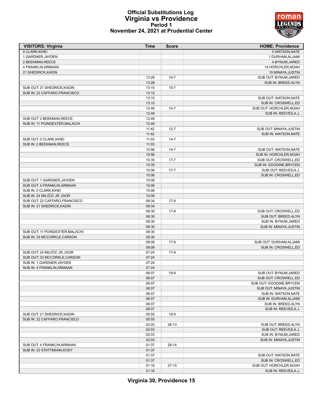# **Official Substitutions Log Virginia vs Providence Period 1 November 24, 2021 at Prudential Center**



| <b>VISITORS: Virginia</b>       | Time  | <b>Score</b> | <b>HOME: Providence</b>  |
|---------------------------------|-------|--------------|--------------------------|
| 0 CLARK, KIHEI                  |       |              | 0 WATSON, NATE           |
| 1 GARDNER, JAYDEN               |       |              | 1 DURHAM, ALJAMI         |
| 2 BEEKMAN, REECE                |       |              | 4 BYNUM, JARED           |
| 4 FRANKLIN, ARMAAN              |       |              | 14 HORCHLER, NOAH        |
| 21 SHEDRICK, KADIN              |       |              | 15 MINAYA, JUSTIN        |
|                                 | 13:28 | $10 - 7$     | SUB OUT: BYNUM, JARED    |
|                                 | 13:28 |              | SUB IN: BREED, ALYN      |
| SUB OUT: 21 SHEDRICK, KADIN     | 13:15 | $10 - 7$     |                          |
| SUB IN: 22 CAFFARO, FRANCISCO   | 13:15 |              |                          |
|                                 | 13:15 |              | SUB OUT: WATSON, NATE    |
|                                 | 13:15 |              | SUB IN: CROSWELL,ED      |
|                                 | 12:49 | $10 - 7$     | SUB OUT: HORCHLER, NOAH  |
|                                 | 12:49 |              | SUB IN: REEVES, A.J.     |
| SUB OUT: 2 BEEKMAN, REECE       | 12:49 |              |                          |
|                                 |       |              |                          |
| SUB IN: 11 POINDEXTER, MALACHI  | 12:49 |              |                          |
|                                 | 11:42 | $12 - 7$     | SUB OUT: MINAYA, JUSTIN  |
|                                 | 11:42 |              | SUB IN: WATSON, NATE     |
| SUB OUT: 0 CLARK, KIHEI         | 11:03 | $14 - 7$     |                          |
| SUB IN: 2 BEEKMAN, REECE        | 11:03 |              |                          |
|                                 | 10:56 | $14 - 7$     | SUB OUT: WATSON, NATE    |
|                                 | 10:56 |              | SUB IN: HORCHLER, NOAH   |
|                                 | 10:35 | $17 - 7$     | SUB OUT: CROSWELL,ED     |
|                                 | 10:35 |              | SUB IN: GOODINE, BRYCEN  |
|                                 | 10:06 | $17 - 7$     | SUB OUT: REEVES, A.J.    |
|                                 | 10:06 |              | SUB IN: CROSWELL,ED      |
| SUB OUT: 1 GARDNER, JAYDEN      | 10:06 |              |                          |
| SUB OUT: 4 FRANKLIN, ARMAAN     | 10:06 |              |                          |
| SUB IN: 0 CLARK, KIHEI          | 10:06 |              |                          |
| SUB IN: 24 MILIČIĆ JR., IGOR    | 10:06 |              |                          |
| SUB OUT: 22 CAFFARO, FRANCISCO  | 09:34 | $17-9$       |                          |
| SUB IN: 21 SHEDRICK, KADIN      | 09:34 |              |                          |
|                                 | 08:30 | $17-9$       | SUB OUT: CROSWELL,ED     |
|                                 | 08:30 |              | SUB OUT: BREED, ALYN     |
|                                 | 08:30 |              | SUB IN: BYNUM, JARED     |
|                                 | 08:30 |              |                          |
|                                 |       |              | SUB IN: MINAYA, JUSTIN   |
| SUB OUT: 11 POINDEXTER, MALACHI | 08:30 |              |                          |
| SUB IN: 33 MCCORKLE, CARSON     | 08:30 |              |                          |
|                                 | 08:08 | $17-9$       | SUB OUT: DURHAM, ALJAMI  |
|                                 | 08:08 |              | SUB IN: CROSWELL,ED      |
| SUB OUT: 24 MILIČIĆ JR., IGOR   | 07:24 | $17-9$       |                          |
| SUB OUT: 33 MCCORKLE, CARSON    | 07:24 |              |                          |
| SUB IN: 1 GARDNER.JAYDEN        | 07:24 |              |                          |
| SUB IN: 4 FRANKLIN, ARMAAN      | 07:24 |              |                          |
|                                 | 06:07 | $19-9$       | SUB OUT: BYNUM, JARED    |
|                                 | 06:07 |              | SUB OUT: CROSWELL,ED     |
|                                 | 06:07 |              | SUB OUT: GOODINE, BRYCEN |
|                                 | 06:07 |              | SUB OUT: MINAYA, JUSTIN  |
|                                 | 06:07 |              | SUB IN: WATSON, NATE     |
|                                 | 06:07 |              | SUB IN: DURHAM, ALJAMI   |
|                                 | 06:07 |              | SUB IN: BREED, ALYN      |
|                                 | 06:07 |              | SUB IN: REEVES, A.J.     |
| SUB OUT: 21 SHEDRICK, KADIN     | 05:55 | $19-9$       |                          |
| SUB IN: 22 CAFFARO, FRANCISCO   | 05:55 |              |                          |
|                                 | 02:03 | 26-13        | SUB OUT: BREED, ALYN     |
|                                 | 02:03 |              | SUB OUT: REEVES, A.J.    |
|                                 |       |              |                          |
|                                 | 02:03 |              | SUB IN: BYNUM, JARED     |
|                                 | 02:03 |              | SUB IN: MINAYA, JUSTIN   |
| SUB OUT: 4 FRANKLIN, ARMAAN     | 01:37 | $26-14$      |                          |
| SUB IN: 23 STATTMANN, KODY      | 01:37 |              |                          |
|                                 | 01:37 |              | SUB OUT: WATSON, NATE    |
|                                 | 01:37 |              | SUB IN: CROSWELL,ED      |
|                                 | 01:16 | $27 - 15$    | SUB OUT: HORCHLER, NOAH  |
|                                 | 01:16 |              | SUB IN: REEVES, A.J.     |

**Virginia 30, Providence 15**